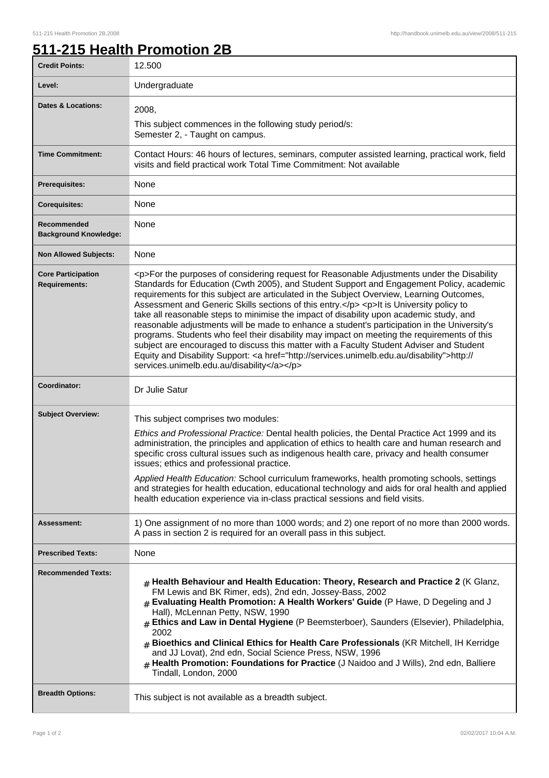## **511-215 Health Promotion 2B**

| <b>Credit Points:</b>                             | 12.500                                                                                                                                                                                                                                                                                                                                                                                                                                                                                                                                                                                                                                                                                                                                                                                                                                                                                                                                           |
|---------------------------------------------------|--------------------------------------------------------------------------------------------------------------------------------------------------------------------------------------------------------------------------------------------------------------------------------------------------------------------------------------------------------------------------------------------------------------------------------------------------------------------------------------------------------------------------------------------------------------------------------------------------------------------------------------------------------------------------------------------------------------------------------------------------------------------------------------------------------------------------------------------------------------------------------------------------------------------------------------------------|
| Level:                                            | Undergraduate                                                                                                                                                                                                                                                                                                                                                                                                                                                                                                                                                                                                                                                                                                                                                                                                                                                                                                                                    |
| <b>Dates &amp; Locations:</b>                     | 2008,<br>This subject commences in the following study period/s:<br>Semester 2, - Taught on campus.                                                                                                                                                                                                                                                                                                                                                                                                                                                                                                                                                                                                                                                                                                                                                                                                                                              |
| <b>Time Commitment:</b>                           | Contact Hours: 46 hours of lectures, seminars, computer assisted learning, practical work, field<br>visits and field practical work Total Time Commitment: Not available                                                                                                                                                                                                                                                                                                                                                                                                                                                                                                                                                                                                                                                                                                                                                                         |
| <b>Prerequisites:</b>                             | None                                                                                                                                                                                                                                                                                                                                                                                                                                                                                                                                                                                                                                                                                                                                                                                                                                                                                                                                             |
| <b>Corequisites:</b>                              | None                                                                                                                                                                                                                                                                                                                                                                                                                                                                                                                                                                                                                                                                                                                                                                                                                                                                                                                                             |
| Recommended<br><b>Background Knowledge:</b>       | None                                                                                                                                                                                                                                                                                                                                                                                                                                                                                                                                                                                                                                                                                                                                                                                                                                                                                                                                             |
| <b>Non Allowed Subjects:</b>                      | None                                                                                                                                                                                                                                                                                                                                                                                                                                                                                                                                                                                                                                                                                                                                                                                                                                                                                                                                             |
| <b>Core Participation</b><br><b>Requirements:</b> | <p>For the purposes of considering request for Reasonable Adjustments under the Disability<br/>Standards for Education (Cwth 2005), and Student Support and Engagement Policy, academic<br/>requirements for this subject are articulated in the Subject Overview, Learning Outcomes,<br/>Assessment and Generic Skills sections of this entry.</p> <p> <p> <h>&gt;It is University policy to<br/>take all reasonable steps to minimise the impact of disability upon academic study, and<br/>reasonable adjustments will be made to enhance a student's participation in the University's<br/>programs. Students who feel their disability may impact on meeting the requirements of this<br/>subject are encouraged to discuss this matter with a Faculty Student Adviser and Student<br/>Equity and Disability Support: &lt; a href="http://services.unimelb.edu.au/disability"&gt;http://<br/>services.unimelb.edu.au/disability</h></p></p> |
| Coordinator:                                      | Dr Julie Satur                                                                                                                                                                                                                                                                                                                                                                                                                                                                                                                                                                                                                                                                                                                                                                                                                                                                                                                                   |
| <b>Subject Overview:</b>                          | This subject comprises two modules:<br>Ethics and Professional Practice: Dental health policies, the Dental Practice Act 1999 and its<br>administration, the principles and application of ethics to health care and human research and<br>specific cross cultural issues such as indigenous health care, privacy and health consumer<br>issues; ethics and professional practice.<br>Applied Health Education: School curriculum frameworks, health promoting schools, settings<br>and strategies for health education, educational technology and aids for oral health and applied<br>health education experience via in-class practical sessions and field visits.                                                                                                                                                                                                                                                                            |
| <b>Assessment:</b>                                | 1) One assignment of no more than 1000 words; and 2) one report of no more than 2000 words.<br>A pass in section 2 is required for an overall pass in this subject.                                                                                                                                                                                                                                                                                                                                                                                                                                                                                                                                                                                                                                                                                                                                                                              |
| <b>Prescribed Texts:</b>                          | None                                                                                                                                                                                                                                                                                                                                                                                                                                                                                                                                                                                                                                                                                                                                                                                                                                                                                                                                             |
| <b>Recommended Texts:</b>                         | $_{\#}$ Health Behaviour and Health Education: Theory, Research and Practice 2 (K Glanz,<br>FM Lewis and BK Rimer, eds), 2nd edn, Jossey-Bass, 2002<br># Evaluating Health Promotion: A Health Workers' Guide (P Hawe, D Degeling and J<br>Hall), McLennan Petty, NSW, 1990<br># Ethics and Law in Dental Hygiene (P Beemsterboer), Saunders (Elsevier), Philadelphia,<br>2002<br>Bioethics and Clinical Ethics for Health Care Professionals (KR Mitchell, IH Kerridge<br>#<br>and JJ Lovat), 2nd edn, Social Science Press, NSW, 1996<br>Health Promotion: Foundations for Practice (J Naidoo and J Wills), 2nd edn, Balliere<br>Tindall, London, 2000                                                                                                                                                                                                                                                                                         |
| <b>Breadth Options:</b>                           | This subject is not available as a breadth subject.                                                                                                                                                                                                                                                                                                                                                                                                                                                                                                                                                                                                                                                                                                                                                                                                                                                                                              |